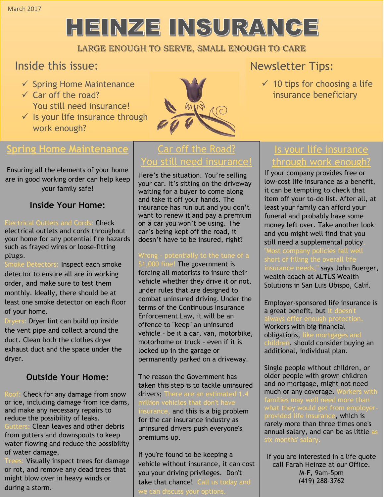# HEINZE INSURANCE

### LARGE ENOUGH TO SERVE, SMALL ENOUGH TO CARE

# Inside this issue:

- $\checkmark$  Spring Home Maintenance
- $\checkmark$  Car off the road? You still need insurance!
- $\checkmark$  Is your life insurance through work enough?



## **Spring Home Maintenance**

Ensuring all the elements of your home are in good working order can help keep your family safe!

## **Inside Your Home:**

Check [electrical outlets](https://www.travelers.com/resources/home/fire-safety/electrical-safety-in-the-home.aspx) and cords throughout your home for any potential fire hazards such as frayed wires or loose-fitting plugs.

Inspect each smoke detector to ensure all are in working order, and make sure to test them monthly. Ideally, there should be at least one smoke detector on each floor of your home.

Dryer lint can build up inside the vent pipe and collect around the duct. Clean both the clothes dryer exhaust duct and the space under the dryer.

## **Outside Your Home:**

Check for any damage from snow or ice, including damage from ice dams, and make any necessary repairs to reduce the possibility of leaks. Clean leaves and other debris from gutters and downspouts to keep water flowing and reduce the possibility of water damage.

Visually [inspect trees](https://www.travelers.com/resources/home/maintenance/tree-maintenance-and-care.aspx) for damage or rot, and remove any dead trees that might blow over in heavy winds or during a storm.

# Car off the Road? You still need insurance!

Here's the situation. You're selling your car. It's sitting on the driveway waiting for a buyer to come along and take it off your hands. The insurance has run out and you don't want to renew it and pay a premium on a car you won't be using. The car's being kept off the road, it doesn't have to be insured, right?

000 fine! The government is forcing all motorists to insure their vehicle whether they drive it or not, under rules that are designed to combat uninsured driving. Under the terms of the Continuous Insurance Enforcement Law, it will be an offence to "keep" an uninsured vehicle – be it a car, van, motorbike, motorhome or truck – even if it is locked up in the garage or permanently parked on a driveway.

The reason the Government has taken this step is to tackle uninsured drivers; The urance, and this is a big problem for the car insurance industry as uninsured drivers push everyone's premiums up.

If you're found to be keeping a vehicle without insurance, it can cost you your driving privileges. Don't take that chance! Call us today and

# Newsletter Tips:

 $\checkmark$  10 tips for choosing a life insurance beneficiary

# Is your life insurance through work enc

If your company provides free or low-cost life insurance as a benefit, it can be tempting to check that item off your to-do list. After all, at least your family can afford your funeral and probably have some money left over. Take another look and you might well find that you still need a supplemental policy. says John Buerger, wealth coach at ALTUS Wealth Solutions in San Luis Obispo, Calif.

Employer-sponsored life insurance is a great benefit, but Workers with big financial obligations, 1, should consider buying an additional, individual plan.

Single people without children, or older people with grown children and no mortgage, might not need much or any coverage. ce, which is rarely more than three times one's annual salary, and can be as little

If you are interested in a life quote call Farah Heinze at our Office. M-F, 9am-5pm (419) 288-3762